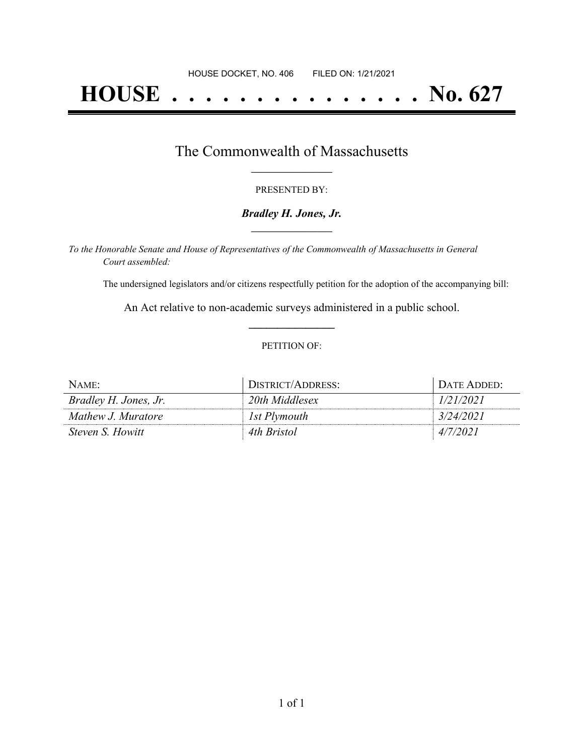# **HOUSE . . . . . . . . . . . . . . . No. 627**

## The Commonwealth of Massachusetts **\_\_\_\_\_\_\_\_\_\_\_\_\_\_\_\_\_**

#### PRESENTED BY:

#### *Bradley H. Jones, Jr.* **\_\_\_\_\_\_\_\_\_\_\_\_\_\_\_\_\_**

*To the Honorable Senate and House of Representatives of the Commonwealth of Massachusetts in General Court assembled:*

The undersigned legislators and/or citizens respectfully petition for the adoption of the accompanying bill:

An Act relative to non-academic surveys administered in a public school. **\_\_\_\_\_\_\_\_\_\_\_\_\_\_\_**

#### PETITION OF:

| NAME:                   | DISTRICT/ADDRESS: | DATE ADDED: |
|-------------------------|-------------------|-------------|
| Bradley H. Jones, Jr.   | 20th Middlesex    | 1/21/2021   |
| Mathew J. Muratore      | 1st Plymouth      | 3/24/2021   |
| <i>Steven S. Howitt</i> | 4th Bristol       | 4/7/2021    |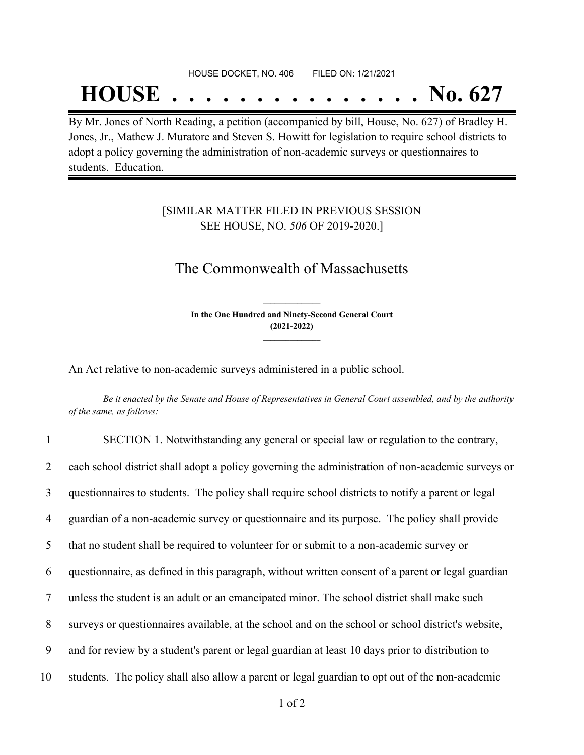#### HOUSE DOCKET, NO. 406 FILED ON: 1/21/2021

## **HOUSE . . . . . . . . . . . . . . . No. 627**

By Mr. Jones of North Reading, a petition (accompanied by bill, House, No. 627) of Bradley H. Jones, Jr., Mathew J. Muratore and Steven S. Howitt for legislation to require school districts to adopt a policy governing the administration of non-academic surveys or questionnaires to students. Education.

### [SIMILAR MATTER FILED IN PREVIOUS SESSION SEE HOUSE, NO. *506* OF 2019-2020.]

## The Commonwealth of Massachusetts

**In the One Hundred and Ninety-Second General Court (2021-2022) \_\_\_\_\_\_\_\_\_\_\_\_\_\_\_**

**\_\_\_\_\_\_\_\_\_\_\_\_\_\_\_**

An Act relative to non-academic surveys administered in a public school.

Be it enacted by the Senate and House of Representatives in General Court assembled, and by the authority *of the same, as follows:*

| $\mathbf{1}$   | SECTION 1. Notwithstanding any general or special law or regulation to the contrary,               |
|----------------|----------------------------------------------------------------------------------------------------|
| 2              | each school district shall adopt a policy governing the administration of non-academic surveys or  |
| 3              | questionnaires to students. The policy shall require school districts to notify a parent or legal  |
| $\overline{4}$ | guardian of a non-academic survey or questionnaire and its purpose. The policy shall provide       |
| 5              | that no student shall be required to volunteer for or submit to a non-academic survey or           |
| 6              | questionnaire, as defined in this paragraph, without written consent of a parent or legal guardian |
| 7              | unless the student is an adult or an emancipated minor. The school district shall make such        |
| 8              | surveys or questionnaires available, at the school and on the school or school district's website, |
| 9              | and for review by a student's parent or legal guardian at least 10 days prior to distribution to   |
| 10             | students. The policy shall also allow a parent or legal guardian to opt out of the non-academic    |